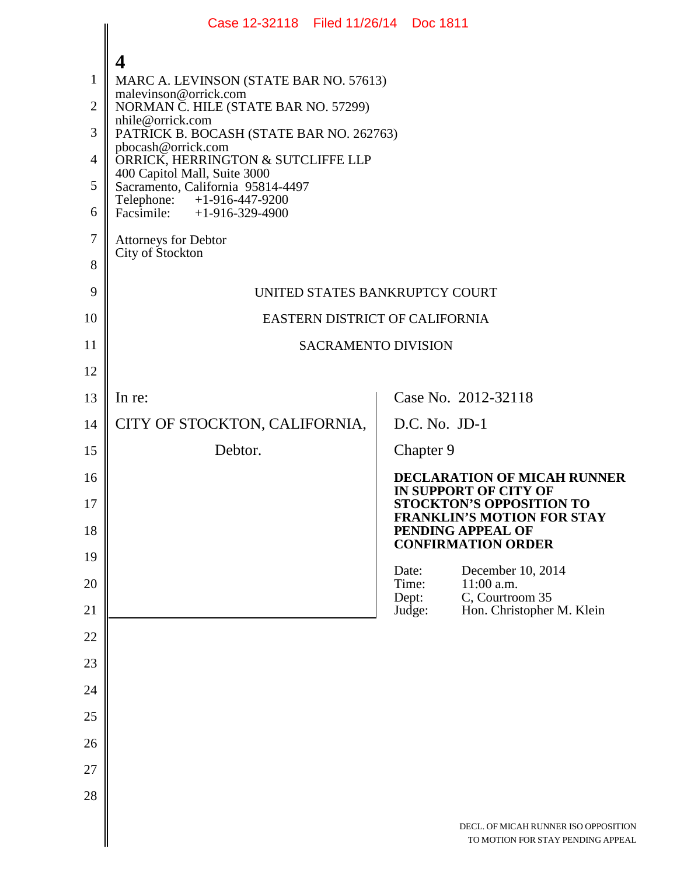|                | Case 12-32118 Filed 11/26/14 Doc 1811                             |  |                                                                                     |                                                                                                       |
|----------------|-------------------------------------------------------------------|--|-------------------------------------------------------------------------------------|-------------------------------------------------------------------------------------------------------|
|                | 4                                                                 |  |                                                                                     |                                                                                                       |
| $\mathbf{1}$   | MARC A. LEVINSON (STATE BAR NO. 57613)                            |  |                                                                                     |                                                                                                       |
| $\overline{2}$ | malevinson@orrick.com<br>NORMAN C. HILE (STATE BAR NO. 57299)     |  |                                                                                     |                                                                                                       |
| 3              | nhile@orrick.com<br>PATRICK B. BOCASH (STATE BAR NO. 262763)      |  |                                                                                     |                                                                                                       |
| $\overline{4}$ | pbocash@orrick.com<br>ORRICK, HERRINGTON & SUTCLIFFE LLP          |  |                                                                                     |                                                                                                       |
| 5              | 400 Capitol Mall, Suite 3000<br>Sacramento, California 95814-4497 |  |                                                                                     |                                                                                                       |
| 6              | Telephone: +1-916-447-9200<br>Facsimile: $+1-916-329-4900$        |  |                                                                                     |                                                                                                       |
| $\tau$         | <b>Attorneys for Debtor</b>                                       |  |                                                                                     |                                                                                                       |
| 8              | City of Stockton                                                  |  |                                                                                     |                                                                                                       |
| 9              | UNITED STATES BANKRUPTCY COURT                                    |  |                                                                                     |                                                                                                       |
| 10             | EASTERN DISTRICT OF CALIFORNIA                                    |  |                                                                                     |                                                                                                       |
| 11             | <b>SACRAMENTO DIVISION</b>                                        |  |                                                                                     |                                                                                                       |
| 12             |                                                                   |  |                                                                                     |                                                                                                       |
| 13             | In re:                                                            |  |                                                                                     | Case No. 2012-32118                                                                                   |
| 14             | CITY OF STOCKTON, CALIFORNIA,                                     |  | D.C. No. JD-1                                                                       |                                                                                                       |
| 15             | Debtor.                                                           |  | Chapter 9                                                                           |                                                                                                       |
| 16<br>17       |                                                                   |  |                                                                                     | <b>DECLARATION OF MICAH RUNNER</b><br><b>IN SUPPORT OF CITY OF</b><br><b>STOCKTON'S OPPOSITION TO</b> |
| 18             |                                                                   |  | <b>FRANKLIN'S MOTION FOR STAY</b><br>PENDING APPEAL OF<br><b>CONFIRMATION ORDER</b> |                                                                                                       |
| 19             |                                                                   |  | Date:                                                                               | December 10, 2014                                                                                     |
| 20             |                                                                   |  | Time:<br>Dept:                                                                      | $11:00$ a.m.<br>C, Courtroom 35                                                                       |
| 21             |                                                                   |  | Judge:                                                                              | Hon. Christopher M. Klein                                                                             |
| 22<br>23       |                                                                   |  |                                                                                     |                                                                                                       |
| 24             |                                                                   |  |                                                                                     |                                                                                                       |
| 25             |                                                                   |  |                                                                                     |                                                                                                       |
| 26             |                                                                   |  |                                                                                     |                                                                                                       |
| 27             |                                                                   |  |                                                                                     |                                                                                                       |
| 28             |                                                                   |  |                                                                                     |                                                                                                       |
|                |                                                                   |  |                                                                                     | DECL. OF MICAH RUNNER ISO OPPOSITION<br>TO MOTION FOR STAY PENDING APPEAL                             |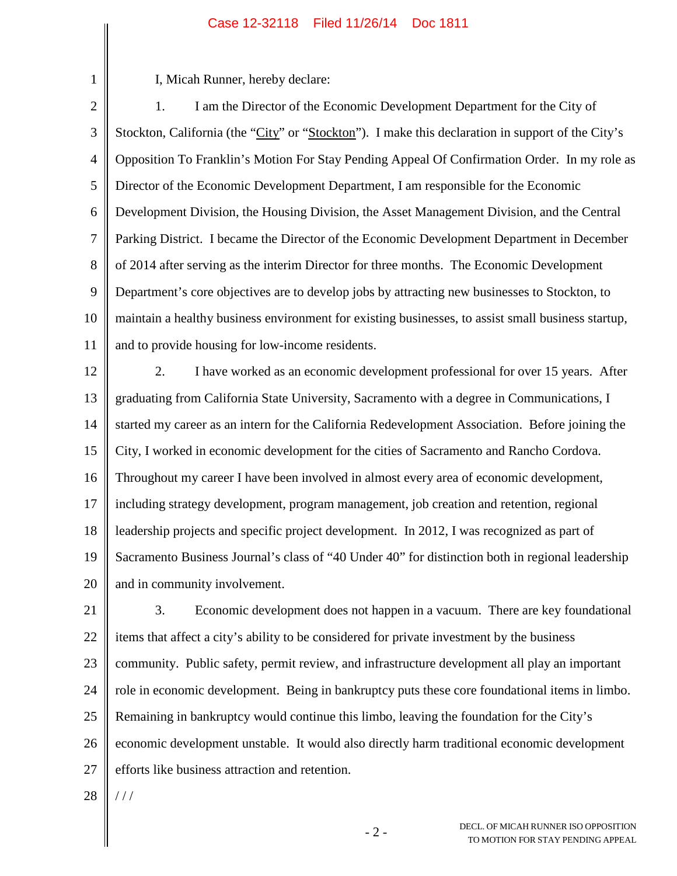## Case 12-32118 Filed 11/26/14 Doc 1811

1

I, Micah Runner, hereby declare:

2 3 4 5 6 7 8 9 10 11 1. I am the Director of the Economic Development Department for the City of Stockton, California (the "City" or "Stockton"). I make this declaration in support of the City's Opposition To Franklin's Motion For Stay Pending Appeal Of Confirmation Order. In my role as Director of the Economic Development Department, I am responsible for the Economic Development Division, the Housing Division, the Asset Management Division, and the Central Parking District. I became the Director of the Economic Development Department in December of 2014 after serving as the interim Director for three months. The Economic Development Department's core objectives are to develop jobs by attracting new businesses to Stockton, to maintain a healthy business environment for existing businesses, to assist small business startup, and to provide housing for low-income residents.

12 13 14 15 16 17 18 19 20 2. I have worked as an economic development professional for over 15 years. After graduating from California State University, Sacramento with a degree in Communications, I started my career as an intern for the California Redevelopment Association. Before joining the City, I worked in economic development for the cities of Sacramento and Rancho Cordova. Throughout my career I have been involved in almost every area of economic development, including strategy development, program management, job creation and retention, regional leadership projects and specific project development. In 2012, I was recognized as part of Sacramento Business Journal's class of "40 Under 40" for distinction both in regional leadership and in community involvement.

21 22 23 24 25 26 27 3. Economic development does not happen in a vacuum. There are key foundational items that affect a city's ability to be considered for private investment by the business community. Public safety, permit review, and infrastructure development all play an important role in economic development. Being in bankruptcy puts these core foundational items in limbo. Remaining in bankruptcy would continue this limbo, leaving the foundation for the City's economic development unstable. It would also directly harm traditional economic development efforts like business attraction and retention.

28  $//$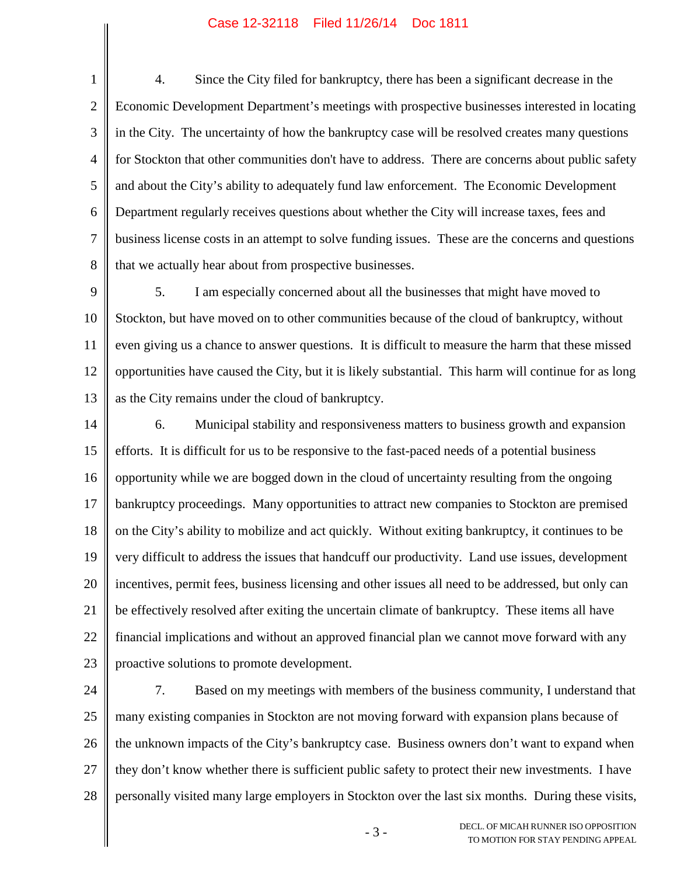## Case 12-32118 Filed 11/26/14 Doc 1811

1 2 3 4 5 6 7 8 4. Since the City filed for bankruptcy, there has been a significant decrease in the Economic Development Department's meetings with prospective businesses interested in locating in the City. The uncertainty of how the bankruptcy case will be resolved creates many questions for Stockton that other communities don't have to address. There are concerns about public safety and about the City's ability to adequately fund law enforcement. The Economic Development Department regularly receives questions about whether the City will increase taxes, fees and business license costs in an attempt to solve funding issues. These are the concerns and questions that we actually hear about from prospective businesses.

9 10 11 12 13 5. I am especially concerned about all the businesses that might have moved to Stockton, but have moved on to other communities because of the cloud of bankruptcy, without even giving us a chance to answer questions. It is difficult to measure the harm that these missed opportunities have caused the City, but it is likely substantial. This harm will continue for as long as the City remains under the cloud of bankruptcy.

14 15 16 17 18 19 20 21 22 23 6. Municipal stability and responsiveness matters to business growth and expansion efforts. It is difficult for us to be responsive to the fast-paced needs of a potential business opportunity while we are bogged down in the cloud of uncertainty resulting from the ongoing bankruptcy proceedings. Many opportunities to attract new companies to Stockton are premised on the City's ability to mobilize and act quickly. Without exiting bankruptcy, it continues to be very difficult to address the issues that handcuff our productivity. Land use issues, development incentives, permit fees, business licensing and other issues all need to be addressed, but only can be effectively resolved after exiting the uncertain climate of bankruptcy. These items all have financial implications and without an approved financial plan we cannot move forward with any proactive solutions to promote development.

24 25 26 27 28 7. Based on my meetings with members of the business community, I understand that many existing companies in Stockton are not moving forward with expansion plans because of the unknown impacts of the City's bankruptcy case. Business owners don't want to expand when they don't know whether there is sufficient public safety to protect their new investments. I have personally visited many large employers in Stockton over the last six months. During these visits,